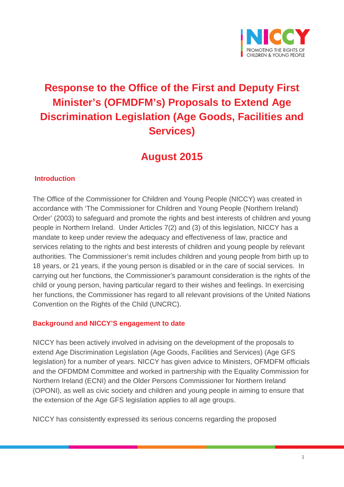

# **Response to the Office of the First and Deputy First Minister's (OFMDFM's) Proposals to Extend Age Discrimination Legislation (Age Goods, Facilities and Services)**

## **August 2015**

#### **Introduction**

The Office of the Commissioner for Children and Young People (NICCY) was created in accordance with 'The Commissioner for Children and Young People (Northern Ireland) Order' (2003) to safeguard and promote the rights and best interests of children and young people in Northern Ireland. Under Articles 7(2) and (3) of this legislation, NICCY has a mandate to keep under review the adequacy and effectiveness of law, practice and services relating to the rights and best interests of children and young people by relevant authorities. The Commissioner's remit includes children and young people from birth up to 18 years, or 21 years, if the young person is disabled or in the care of social services. In carrying out her functions, the Commissioner's paramount consideration is the rights of the child or young person, having particular regard to their wishes and feelings. In exercising her functions, the Commissioner has regard to all relevant provisions of the United Nations Convention on the Rights of the Child (UNCRC).

#### **Background and NICCY'S engagement to date**

NICCY has been actively involved in advising on the development of the proposals to extend Age Discrimination Legislation (Age Goods, Facilities and Services) (Age GFS legislation) for a number of years. NICCY has given advice to Ministers, OFMDFM officials and the OFDMDM Committee and worked in partnership with the Equality Commission for Northern Ireland (ECNI) and the Older Persons Commissioner for Northern Ireland (OPONI), as well as civic society and children and young people in aiming to ensure that the extension of the Age GFS legislation applies to all age groups.

NICCY has consistently expressed its serious concerns regarding the proposed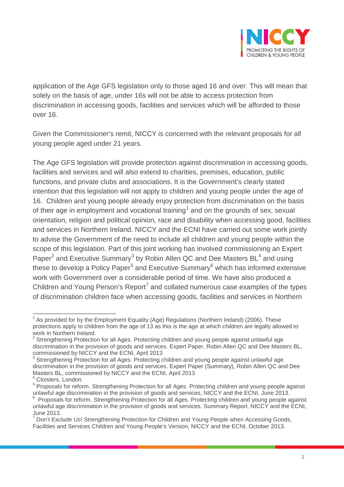

application of the Age GFS legislation only to those aged 16 and over. This will mean that solely on the basis of age, under 16s will not be able to access protection from discrimination in accessing goods, facilities and services which will be afforded to those over 16.

Given the Commissioner's remit, NICCY is concerned with the relevant proposals for all young people aged under 21 years.

The Age GFS legislation will provide protection against discrimination in accessing goods, facilities and services and will also extend to charities, premises, education, public functions, and private clubs and associations. It is the Government's clearly stated intention that this legislation will not apply to children and young people under the age of 16. Children and young people already enjoy protection from discrimination on the basis of their age in employment and vocational training<sup>[1](#page-1-0)</sup> and on the grounds of sex, sexual orientation, religion and political opinion, race and disability when accessing good, facilities and services in Northern Ireland. NICCY and the ECNI have carried out some work jointly to advise the Government of the need to include all children and young people within the scope of this legislation. Part of this joint working has involved commissioning an Expert Paper<sup>[2](#page-1-1)</sup> and Executive Summary<sup>[3](#page-1-2)</sup> by Robin Allen QC and Dee Masters  $BL^4$  $BL^4$  and using these to develop a Policy Paper<sup>[5](#page-1-4)</sup> and Executive Summary<sup>[6](#page-1-5)</sup> which has informed extensive work with Government over a considerable period of time. We have also produced a Children and Young Person's Report<sup>[7](#page-1-6)</sup> and collated numerous case examples of the types of discrimination children face when accessing goods, facilities and services in Northern

<span id="page-1-0"></span> $1$  As provided for by the Employment Equality (Age) Regulations (Northern Ireland) (2006). These protections apply to children from the age of 13 as this is the age at which children are legally allowed to work in Northern Ireland.

<span id="page-1-1"></span> $2$  Strengthening Protection for all Ages. Protecting children and young people against unlawful age discrimination in the provision of goods and services. Expert Paper, Robin Allen QC and Dee Masters BL,

<span id="page-1-2"></span> $3$  Strengthening Protection for all Ages. Protecting children and young people against unlawful age discrimination in the provision of goods and services. Expert Paper (Summary), Robin Allen QC and Dee Masters BL, commissioned by NICCY and the ECNI, April 2013<sup>4</sup> Cloisters, London.

<span id="page-1-4"></span><span id="page-1-3"></span><sup>5</sup> Proposals for reform. Strengthening Protection for all Ages. Protecting children and young people against unlawful age discrimination in the provision of goods and services, NICCY and the ECNI, June 2013.

<span id="page-1-5"></span>Proposals for reform. Strengthening Protection for all Ages. Protecting children and young people against unlawful age discrimination in the provision of goods and services. Summary Report, NICCY and the ECNI, June 2013.

<span id="page-1-6"></span> $7$  Don't Exclude Us! Strengthening Protection for Children and Young People when Accessing Goods, Facilities and Services Children and Young People's Version, NICCY and the ECNI, October 2013.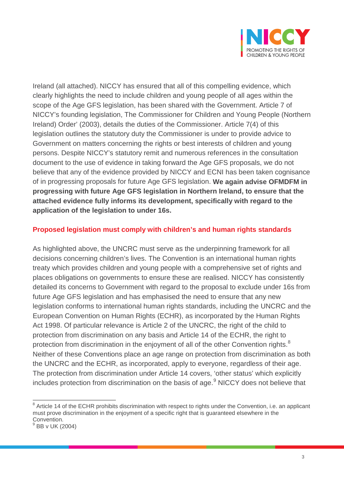

Ireland (all attached). NICCY has ensured that all of this compelling evidence, which clearly highlights the need to include children and young people of all ages within the scope of the Age GFS legislation, has been shared with the Government. Article 7 of NICCY's founding legislation, The Commissioner for Children and Young People (Northern Ireland) Order' (2003), details the duties of the Commissioner. Article 7(4) of this legislation outlines the statutory duty the Commissioner is under to provide advice to Government on matters concerning the rights or best interests of children and young persons. Despite NICCY's statutory remit and numerous references in the consultation document to the use of evidence in taking forward the Age GFS proposals, we do not believe that any of the evidence provided by NICCY and ECNI has been taken cognisance of in progressing proposals for future Age GFS legislation. **We again advise OFMDFM in progressing with future Age GFS legislation in Northern Ireland, to ensure that the attached evidence fully informs its development, specifically with regard to the application of the legislation to under 16s.**

#### **Proposed legislation must comply with children's and human rights standards**

As highlighted above, the UNCRC must serve as the underpinning framework for all decisions concerning children's lives. The Convention is an international human rights treaty which provides children and young people with a comprehensive set of rights and places obligations on governments to ensure these are realised. NICCY has consistently detailed its concerns to Government with regard to the proposal to exclude under 16s from future Age GFS legislation and has emphasised the need to ensure that any new legislation conforms to international human rights standards, including the UNCRC and the European Convention on Human Rights (ECHR), as incorporated by the Human Rights Act 1998. Of particular relevance is Article 2 of the UNCRC, the right of the child to protection from discrimination on any basis and Article 14 of the ECHR, the right to protection from discrimination in the enjoyment of all of the other Convention rights.<sup>[8](#page-2-0)</sup> Neither of these Conventions place an age range on protection from discrimination as both the UNCRC and the ECHR, as incorporated, apply to everyone, regardless of their age. The protection from discrimination under Article 14 covers, 'other status' which explicitly includes protection from discrimination on the basis of age.<sup>[9](#page-2-1)</sup> NICCY does not believe that

<span id="page-2-0"></span><sup>&</sup>lt;sup>8</sup> Article 14 of the ECHR prohibits discrimination with respect to rights under the Convention, i.e. an applicant must prove discrimination in the enjoyment of a specific right that is guaranteed elsewhere in the Convention.

<span id="page-2-1"></span> $9$  BB v UK (2004)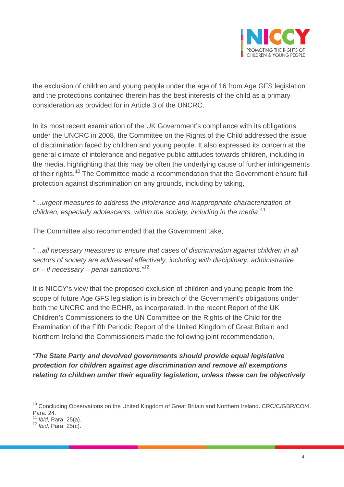

the exclusion of children and young people under the age of 16 from Age GFS legislation and the protections contained therein has the best interests of the child as a primary consideration as provided for in Article 3 of the UNCRC.

In its most recent examination of the UK Government's compliance with its obligations under the UNCRC in 2008, the Committee on the Rights of the Child addressed the issue of discrimination faced by children and young people. It also expressed its concern at the general climate of intolerance and negative public attitudes towards children, including in the media, highlighting that this may be often the underlying cause of further infringements of their rights.<sup>[10](#page-3-0)</sup> The Committee made a recommendation that the Government ensure full protection against discrimination on any grounds, including by taking,

*"…urgent measures to address the intolerance and inappropriate characterization of children, especially adolescents, within the society, including in the media"*[11](#page-3-1)

The Committee also recommended that the Government take,

*"…all necessary measures to ensure that cases of discrimination against children in all sectors of society are addressed effectively, including with disciplinary, administrative or – if necessary – penal sanctions."*[12](#page-3-2)

It is NICCY's view that the proposed exclusion of children and young people from the scope of future Age GFS legislation is in breach of the Government's obligations under both the UNCRC and the ECHR, as incorporated. In the recent Report of the UK Children's Commissioners to the UN Committee on the Rights of the Child for the Examination of the Fifth Periodic Report of the United Kingdom of Great Britain and Northern Ireland the Commissioners made the following joint recommendation,

*"The State Party and devolved governments should provide equal legislative protection for children against age discrimination and remove all exemptions relating to children under their equality legislation, unless these can be objectively* 

<span id="page-3-0"></span><sup>&</sup>lt;sup>10</sup> Concluding Observations on the United Kingdom of Great Britain and Northern Ireland. CRC/C/GBR/CO/4. Para. 24.<br><sup>11</sup> Ibid, Para. 25(a).

<span id="page-3-1"></span>

<span id="page-3-2"></span><sup>11</sup> *Ibid,* Para. 25(a). <sup>12</sup> *Ibid,* Para. 25(c).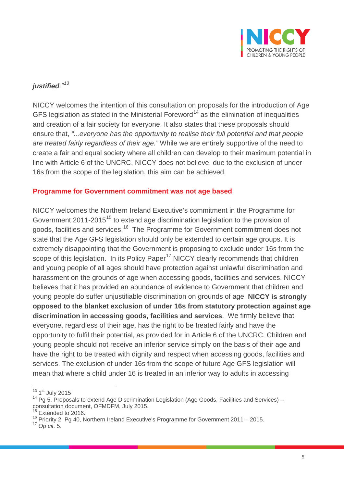

## *justified."[13](#page-4-0)*

NICCY welcomes the intention of this consultation on proposals for the introduction of Age GFS legislation as stated in the Ministerial Foreword<sup>[14](#page-4-1)</sup> as the elimination of inequalities and creation of a fair society for everyone. It also states that these proposals should ensure that, *"...everyone has the opportunity to realise their full potential and that people are treated fairly regardless of their age."* While we are entirely supportive of the need to create a fair and equal society where all children can develop to their maximum potential in line with Article 6 of the UNCRC, NICCY does not believe, due to the exclusion of under 16s from the scope of the legislation, this aim can be achieved.

#### **Programme for Government commitment was not age based**

NICCY welcomes the Northern Ireland Executive's commitment in the Programme for Government 2011-20[15](#page-4-2)<sup>15</sup> to extend age discrimination legislation to the provision of goods, facilities and services.<sup>[16](#page-4-3)</sup> The Programme for Government commitment does not state that the Age GFS legislation should only be extended to certain age groups. It is extremely disappointing that the Government is proposing to exclude under 16s from the scope of this legislation. In its Policy Paper<sup>[17](#page-4-4)</sup> NICCY clearly recommends that children and young people of all ages should have protection against unlawful discrimination and harassment on the grounds of age when accessing goods, facilities and services. NICCY believes that it has provided an abundance of evidence to Government that children and young people do suffer unjustifiable discrimination on grounds of age. **NICCY is strongly opposed to the blanket exclusion of under 16s from statutory protection against age discrimination in accessing goods, facilities and services**. We firmly believe that everyone, regardless of their age, has the right to be treated fairly and have the opportunity to fulfil their potential, as provided for in Article 6 of the UNCRC. Children and young people should not receive an inferior service simply on the basis of their age and have the right to be treated with dignity and respect when accessing goods, facilities and services. The exclusion of under 16s from the scope of future Age GFS legislation will mean that where a child under 16 is treated in an inferior way to adults in accessing

<span id="page-4-0"></span><sup>13 1</sup>st July 2015

<span id="page-4-1"></span> $14$  Pg 5, Proposals to extend Age Discrimination Legislation (Age Goods, Facilities and Services) – consultation document, OFMDFM, July 2015.<br><sup>15</sup> Extended to 2016.

<span id="page-4-2"></span>

<span id="page-4-3"></span> $16$  Priority 2, Pg 40, Northern Ireland Executive's Programme for Government 2011 – 2015.

<span id="page-4-4"></span><sup>17</sup> *Op cit.* 5.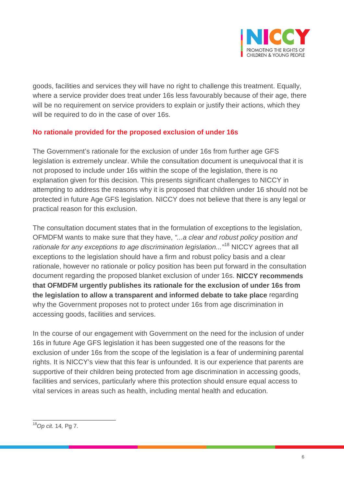

goods, facilities and services they will have no right to challenge this treatment. Equally, where a service provider does treat under 16s less favourably because of their age, there will be no requirement on service providers to explain or justify their actions, which they will be required to do in the case of over 16s.

#### **No rationale provided for the proposed exclusion of under 16s**

The Government's rationale for the exclusion of under 16s from further age GFS legislation is extremely unclear. While the consultation document is unequivocal that it is not proposed to include under 16s within the scope of the legislation, there is no explanation given for this decision. This presents significant challenges to NICCY in attempting to address the reasons why it is proposed that children under 16 should not be protected in future Age GFS legislation. NICCY does not believe that there is any legal or practical reason for this exclusion.

The consultation document states that in the formulation of exceptions to the legislation, OFMDFM wants to make sure that they have, *"...a clear and robust policy position and rationale for any exceptions to age discrimination legislation..."*[18](#page-5-0) NICCY agrees that all exceptions to the legislation should have a firm and robust policy basis and a clear rationale, however no rationale or policy position has been put forward in the consultation document regarding the proposed blanket exclusion of under 16s. **NICCY recommends that OFMDFM urgently publishes its rationale for the exclusion of under 16s from the legislation to allow a transparent and informed debate to take place** regarding why the Government proposes not to protect under 16s from age discrimination in accessing goods, facilities and services.

In the course of our engagement with Government on the need for the inclusion of under 16s in future Age GFS legislation it has been suggested one of the reasons for the exclusion of under 16s from the scope of the legislation is a fear of undermining parental rights. It is NICCY's view that this fear is unfounded. It is our experience that parents are supportive of their children being protected from age discrimination in accessing goods, facilities and services, particularly where this protection should ensure equal access to vital services in areas such as health, including mental health and education.

<span id="page-5-0"></span><sup>18</sup>*Op cit.* <sup>14</sup>*,* Pg 7.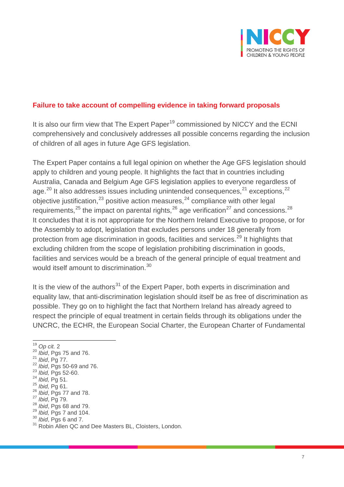

## **Failure to take account of compelling evidence in taking forward proposals**

It is also our firm view that The Expert Paper<sup>[19](#page-6-0)</sup> commissioned by NICCY and the ECNI comprehensively and conclusively addresses all possible concerns regarding the inclusion of children of all ages in future Age GFS legislation.

The Expert Paper contains a full legal opinion on whether the Age GFS legislation should apply to children and young people. It highlights the fact that in countries including Australia, Canada and Belgium Age GFS legislation applies to everyone regardless of age. $^{20}$  $^{20}$  $^{20}$  It also addresses issues including unintended consequences, $^{21}$  $^{21}$  $^{21}$  exceptions, $^{22}$  $^{22}$  $^{22}$ objective justification,  $23$  positive action measures,  $24$  compliance with other legal requirements,<sup>[25](#page-6-6)</sup> the impact on parental rights,<sup>[26](#page-6-7)</sup> age verification<sup>[27](#page-6-8)</sup> and concessions.<sup>[28](#page-6-9)</sup> It concludes that it is not appropriate for the Northern Ireland Executive to propose, or for the Assembly to adopt, legislation that excludes persons under 18 generally from protection from age discrimination in goods, facilities and services.<sup>[29](#page-6-10)</sup> It highlights that excluding children from the scope of legislation prohibiting discrimination in goods, facilities and services would be a breach of the general principle of equal treatment and would itself amount to discrimination.<sup>[30](#page-6-11)</sup>

It is the view of the authors<sup>[31](#page-6-12)</sup> of the Expert Paper, both experts in discrimination and equality law, that anti-discrimination legislation should itself be as free of discrimination as possible. They go on to highlight the fact that Northern Ireland has already agreed to respect the principle of equal treatment in certain fields through its obligations under the UNCRC, the ECHR, the European Social Charter, the European Charter of Fundamental

- <span id="page-6-2"></span><span id="page-6-1"></span><sup>20</sup> *Ibid*, Pgs 75 and 76. <sup>21</sup> *Ibid*, Pg 77. <sup>22</sup> *Ibid*, Pgs 50-69 and 76.
- <span id="page-6-4"></span><span id="page-6-3"></span><sup>23</sup> *Ibid,* Pgs 52-60.

<span id="page-6-0"></span><sup>&</sup>lt;sup>19</sup> Op cit. 2<br><sup>20</sup> Ibid, Pgs 75 and 76.

<span id="page-6-7"></span>

<span id="page-6-8"></span>

<span id="page-6-9"></span>

<span id="page-6-10"></span>

<span id="page-6-12"></span><span id="page-6-11"></span>

<span id="page-6-6"></span><span id="page-6-5"></span><sup>&</sup>lt;sup>25</sup> *Ibid*, Pg 61.<br>
<sup>26</sup> *Ibid*, Pgs 77 and 78.<br>
<sup>27</sup> *Ibid*, Pg 79.<br>
<sup>28</sup> *Ibid*, Pgs 68 and 79.<br>
<sup>29</sup> *Ibid*, Pgs 7 and 104.<br>
<sup>30</sup> *Ibid*, Pgs 6 and 7.<br>
<sup>31</sup> Robin Allen QC and Dee Masters BL, Cloisters, London.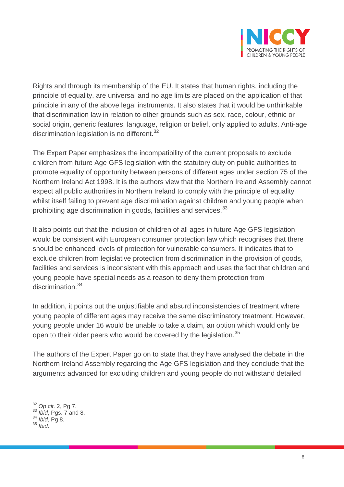

Rights and through its membership of the EU. It states that human rights, including the principle of equality, are universal and no age limits are placed on the application of that principle in any of the above legal instruments. It also states that it would be unthinkable that discrimination law in relation to other grounds such as sex, race, colour, ethnic or social origin, generic features, language, religion or belief, only applied to adults. Anti-age discrimination legislation is no different.<sup>[32](#page-7-0)</sup>

The Expert Paper emphasizes the incompatibility of the current proposals to exclude children from future Age GFS legislation with the statutory duty on public authorities to promote equality of opportunity between persons of different ages under section 75 of the Northern Ireland Act 1998. It is the authors view that the Northern Ireland Assembly cannot expect all public authorities in Northern Ireland to comply with the principle of equality whilst itself failing to prevent age discrimination against children and young people when prohibiting age discrimination in goods, facilities and services.<sup>[33](#page-7-1)</sup>

It also points out that the inclusion of children of all ages in future Age GFS legislation would be consistent with European consumer protection law which recognises that there should be enhanced levels of protection for vulnerable consumers. It indicates that to exclude children from legislative protection from discrimination in the provision of goods, facilities and services is inconsistent with this approach and uses the fact that children and young people have special needs as a reason to deny them protection from discrimination.<sup>[34](#page-7-2)</sup>

In addition, it points out the unjustifiable and absurd inconsistencies of treatment where young people of different ages may receive the same discriminatory treatment. However, young people under 16 would be unable to take a claim, an option which would only be open to their older peers who would be covered by the legislation.<sup>[35](#page-7-3)</sup>

The authors of the Expert Paper go on to state that they have analysed the debate in the Northern Ireland Assembly regarding the Age GFS legislation and they conclude that the arguments advanced for excluding children and young people do not withstand detailed

<span id="page-7-1"></span><span id="page-7-0"></span><sup>32</sup> *Op cit.* 2, Pg 7. <sup>33</sup> *Ibid*, Pgs. 7 and 8. <sup>34</sup> *Ibid*, Pg 8. <sup>35</sup> *Ibid.*

<span id="page-7-3"></span><span id="page-7-2"></span>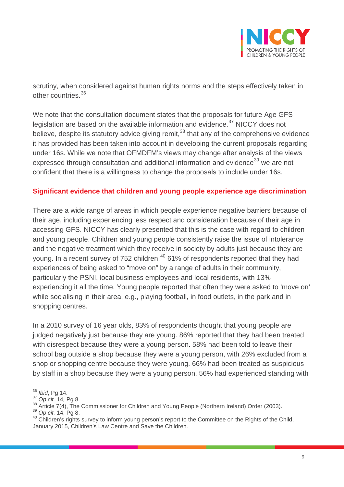

scrutiny, when considered against human rights norms and the steps effectively taken in other countries.[36](#page-8-0)

We note that the consultation document states that the proposals for future Age GFS legislation are based on the available information and evidence. $37$  NICCY does not believe, despite its statutory advice giving remit,<sup>[38](#page-8-2)</sup> that any of the comprehensive evidence it has provided has been taken into account in developing the current proposals regarding under 16s. While we note that OFMDFM's views may change after analysis of the views expressed through consultation and additional information and evidence<sup>[39](#page-8-3)</sup> we are not confident that there is a willingness to change the proposals to include under 16s.

#### **Significant evidence that children and young people experience age discrimination**

There are a wide range of areas in which people experience negative barriers because of their age, including experiencing less respect and consideration because of their age in accessing GFS. NICCY has clearly presented that this is the case with regard to children and young people. Children and young people consistently raise the issue of intolerance and the negative treatment which they receive in society by adults just because they are young. In a recent survey of 752 children,<sup>[40](#page-8-4)</sup> 61% of respondents reported that they had experiences of being asked to "move on" by a range of adults in their community, particularly the PSNI, local business employees and local residents, with 13% experiencing it all the time. Young people reported that often they were asked to 'move on' while socialising in their area, e.g., playing football, in food outlets, in the park and in shopping centres.

In a 2010 survey of 16 year olds, 83% of respondents thought that young people are judged negatively just because they are young. 86% reported that they had been treated with disrespect because they were a young person. 58% had been told to leave their school bag outside a shop because they were a young person, with 26% excluded from a shop or shopping centre because they were young. 66% had been treated as suspicious by staff in a shop because they were a young person. 56% had experienced standing with

<span id="page-8-1"></span>

<span id="page-8-3"></span><span id="page-8-2"></span>

<span id="page-8-4"></span>

<span id="page-8-0"></span><sup>&</sup>lt;sup>36</sup> *Ibid*, Pg 14.<br><sup>37</sup> *Op cit.* 14, Pg 8.<br><sup>38</sup> Article 7(4), The Commissioner for Children and Young People (Northern Ireland) Order (2003).<br><sup>39</sup> *Op cit.* 14, Pg 8.<br><sup>40</sup> Children's rights survey to inform young person January 2015, Children's Law Centre and Save the Children.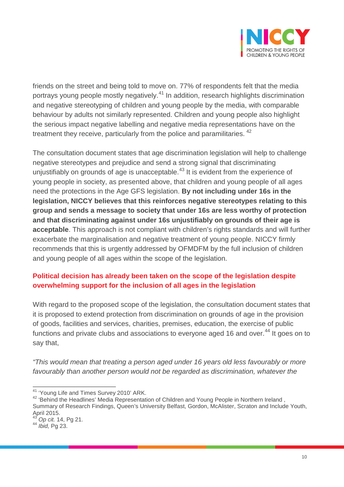

friends on the street and being told to move on. 77% of respondents felt that the media portrays young people mostly negatively.<sup>[41](#page-9-0)</sup> In addition, research highlights discrimination and negative stereotyping of children and young people by the media, with comparable behaviour by adults not similarly represented. Children and young people also highlight the serious impact negative labelling and negative media representations have on the treatment they receive, particularly from the police and paramilitaries. <sup>[42](#page-9-1)</sup>

The consultation document states that age discrimination legislation will help to challenge negative stereotypes and prejudice and send a strong signal that discriminating unjustifiably on grounds of age is unacceptable.<sup>[43](#page-9-2)</sup> It is evident from the experience of young people in society, as presented above, that children and young people of all ages need the protections in the Age GFS legislation. **By not including under 16s in the legislation, NICCY believes that this reinforces negative stereotypes relating to this group and sends a message to society that under 16s are less worthy of protection and that discriminating against under 16s unjustifiably on grounds of their age is acceptable**. This approach is not compliant with children's rights standards and will further exacerbate the marginalisation and negative treatment of young people. NICCY firmly recommends that this is urgently addressed by OFMDFM by the full inclusion of children and young people of all ages within the scope of the legislation.

## **Political decision has already been taken on the scope of the legislation despite overwhelming support for the inclusion of all ages in the legislation**

With regard to the proposed scope of the legislation, the consultation document states that it is proposed to extend protection from discrimination on grounds of age in the provision of goods, facilities and services, charities, premises, education, the exercise of public functions and private clubs and associations to everyone aged 16 and over.<sup>[44](#page-9-3)</sup> It goes on to say that,

*"This would mean that treating a person aged under 16 years old less favourably or more*  favourably than another person would not be regarded as discrimination, whatever the

<span id="page-9-1"></span><span id="page-9-0"></span><sup>&</sup>lt;sup>41</sup> 'Young Life and Times Survey 2010' ARK.<br><sup>42</sup> 'Behind the Headlines' Media Representation of Children and Young People in Northern Ireland , Summary of Research Findings, Queen's University Belfast, Gordon, McAlister, Scraton and Include Youth, April 2015.

<span id="page-9-3"></span><span id="page-9-2"></span><sup>43</sup> *Op cit.* 14, Pg 21. <sup>44</sup> *Ibid,* Pg 23.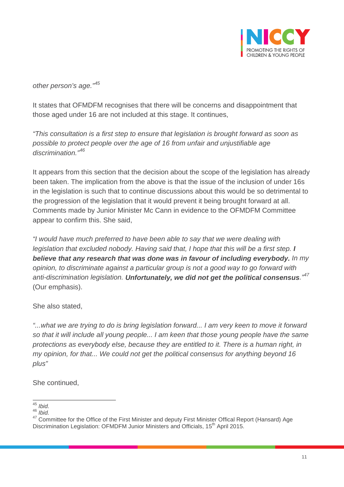

*other person's age."[45](#page-10-0)*

It states that OFMDFM recognises that there will be concerns and disappointment that those aged under 16 are not included at this stage. It continues,

*"This consultation is a first step to ensure that legislation is brought forward as soon as possible to protect people over the age of 16 from unfair and unjustifiable age discrimination."[46](#page-10-1)*

It appears from this section that the decision about the scope of the legislation has already been taken. The implication from the above is that the issue of the inclusion of under 16s in the legislation is such that to continue discussions about this would be so detrimental to the progression of the legislation that it would prevent it being brought forward at all. Comments made by Junior Minister Mc Cann in evidence to the OFMDFM Committee appear to confirm this. She said,

*"I would have much preferred to have been able to say that we were dealing with legislation that excluded nobody. Having said that, I hope that this will be a first step. I believe that any research that was done was in favour of including everybody. In my opinion, to discriminate against a particular group is not a good way to go forward with anti-discrimination legislation. Unfortunately, we did not get the political consensus."[47](#page-10-2)* (Our emphasis).

She also stated,

*"...what we are trying to do is bring legislation forward... I am very keen to move it forward so that it will include all young people... I am keen that those young people have the same protections as everybody else, because they are entitled to it. There is a human right, in my opinion, for that... We could not get the political consensus for anything beyond 16 plus"*

She continued,

<span id="page-10-0"></span><sup>45</sup> *Ibid.*

<span id="page-10-1"></span><sup>46</sup> *Ibid.*

<span id="page-10-2"></span><sup>&</sup>lt;sup>47</sup> Committee for the Office of the First Minister and deputy First Minister Offical Report (Hansard) Age Discrimination Legislation: OFMDFM Junior Ministers and Officials, 15<sup>th</sup> April 2015.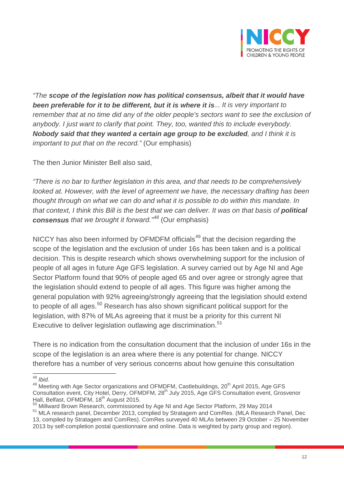

*"The scope of the legislation now has political consensus, albeit that it would have been preferable for it to be different, but it is where it is... It is very important to remember that at no time did any of the older people's sectors want to see the exclusion of anybody. I just want to clarify that point. They, too, wanted this to include everybody. Nobody said that they wanted a certain age group to be excluded, and I think it is important to put that on the record.*" *(Our emphasis)* 

The then Junior Minister Bell also said,

*"There is no bar to further legislation in this area, and that needs to be comprehensively looked at. However, with the level of agreement we have, the necessary drafting has been thought through on what we can do and what it is possible to do within this mandate. In that context, I think this Bill is the best that we can deliver. It was on that basis of political consensus that we brought it forward."[48](#page-11-0)* (Our emphasis)

NICCY has also been informed by OFMDFM officials<sup>[49](#page-11-1)</sup> that the decision regarding the scope of the legislation and the exclusion of under 16s has been taken and is a political decision. This is despite research which shows overwhelming support for the inclusion of people of all ages in future Age GFS legislation. A survey carried out by Age NI and Age Sector Platform found that 90% of people aged 65 and over agree or strongly agree that the legislation should extend to people of all ages. This figure was higher among the general population with 92% agreeing/strongly agreeing that the legislation should extend to people of all ages.<sup>[50](#page-11-2)</sup> Research has also shown significant political support for the legislation, with 87% of MLAs agreeing that it must be a priority for this current NI Executive to deliver legislation outlawing age discrimination.<sup>[51](#page-11-3)</sup>

There is no indication from the consultation document that the inclusion of under 16s in the scope of the legislation is an area where there is any potential for change. NICCY therefore has a number of very serious concerns about how genuine this consultation

<span id="page-11-1"></span><span id="page-11-0"></span><sup>48</sup> *Ibid.*<br><sup>48</sup> *Ibid.* 49 Meeting with Age Sector organizations and OFMDFM, Castlebuildings, 20<sup>th</sup> April 2015, Age GFS Consultation event, City Hotel, Derry, OFMDFM, 28<sup>th</sup> July 2015, Age GFS Consultation event, Grosvenor<br>Hall, Belfast, OFMDFM, 18<sup>th</sup> August 2015.

<span id="page-11-3"></span><span id="page-11-2"></span><sup>&</sup>lt;sup>50</sup> Millward Brown Research, commissioned by Age NI and Age Sector Platform, 29 May 2014<br><sup>51</sup> MLA research panel, December 2013, complied by Stratagem and ComRes. (MLA Research Panel, Dec 13, compiled by Stratagem and ComRes). ComRes surveyed 40 MLAs between 29 October – 25 November

<sup>2013</sup> by self-completion postal questionnaire and online. Data is weighted by party group and region).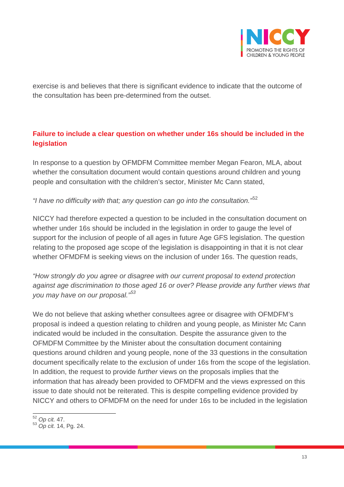

exercise is and believes that there is significant evidence to indicate that the outcome of the consultation has been pre-determined from the outset.

## **Failure to include a clear question on whether under 16s should be included in the legislation**

In response to a question by OFMDFM Committee member Megan Fearon, MLA, about whether the consultation document would contain questions around children and young people and consultation with the children's sector, Minister Mc Cann stated,

*"I have no difficulty with that; any question can go into the consultation."*[52](#page-12-0)

NICCY had therefore expected a question to be included in the consultation document on whether under 16s should be included in the legislation in order to gauge the level of support for the inclusion of people of all ages in future Age GFS legislation. The question relating to the proposed age scope of the legislation is disappointing in that it is not clear whether OFMDFM is seeking views on the inclusion of under 16s. The question reads,

*"How strongly do you agree or disagree with our current proposal to extend protection against age discrimination to those aged 16 or over? Please provide any further views that you may have on our proposal."[53](#page-12-1)*

We do not believe that asking whether consultees agree or disagree with OFMDFM's proposal is indeed a question relating to children and young people, as Minister Mc Cann indicated would be included in the consultation. Despite the assurance given to the OFMDFM Committee by the Minister about the consultation document containing questions around children and young people, none of the 33 questions in the consultation document specifically relate to the exclusion of under 16s from the scope of the legislation. In addition, the request to provide *further* views on the proposals implies that the information that has already been provided to OFMDFM and the views expressed on this issue to date should not be reiterated. This is despite compelling evidence provided by NICCY and others to OFMDFM on the need for under 16s to be included in the legislation

<span id="page-12-1"></span><span id="page-12-0"></span><sup>52</sup> *Op cit.* 47. <sup>53</sup> *Op cit.* 14, Pg. 24.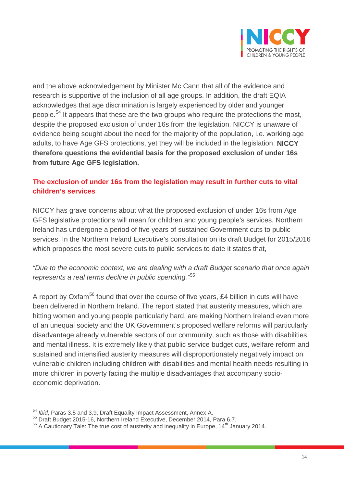

and the above acknowledgement by Minister Mc Cann that all of the evidence and research is supportive of the inclusion of all age groups. In addition, the draft EQIA acknowledges that age discrimination is largely experienced by older and younger people.<sup>[54](#page-13-0)</sup> It appears that these are the two groups who require the protections the most, despite the proposed exclusion of under 16s from the legislation. NICCY is unaware of evidence being sought about the need for the majority of the population, i.e. working age adults, to have Age GFS protections, yet they will be included in the legislation. **NICCY therefore questions the evidential basis for the proposed exclusion of under 16s from future Age GFS legislation.**

## **The exclusion of under 16s from the legislation may result in further cuts to vital children's services**

NICCY has grave concerns about what the proposed exclusion of under 16s from Age GFS legislative protections will mean for children and young people's services. Northern Ireland has undergone a period of five years of sustained Government cuts to public services. In the Northern Ireland Executive's consultation on its draft Budget for 2015/2016 which proposes the most severe cuts to public services to date it states that,

## *"Due to the economic context, we are dealing with a draft Budget scenario that once again represents a real terms decline in public spending."*[55](#page-13-1)

A report by Oxfam<sup>[56](#page-13-2)</sup> found that over the course of five years, £4 billion in cuts will have been delivered in Northern Ireland. The report stated that austerity measures, which are hitting women and young people particularly hard, are making Northern Ireland even more of an unequal society and the UK Government's proposed welfare reforms will particularly disadvantage already vulnerable sectors of our community, such as those with disabilities and mental illness. It is extremely likely that public service budget cuts, welfare reform and sustained and intensified austerity measures will disproportionately negatively impact on vulnerable children including children with disabilities and mental health needs resulting in more children in poverty facing the multiple disadvantages that accompany socioeconomic deprivation.

<span id="page-13-0"></span> $\frac{54}{1}$ *Ibid*, Paras 3.5 and 3.9, Draft Equality Impact Assessment, Annex A.

<span id="page-13-1"></span><sup>55</sup> Draft Budget 2015-16, Northern Ireland Executive, December 2014, Para 6.7.

<span id="page-13-2"></span> $56$  A Cautionary Tale: The true cost of austerity and inequality in Europe, 14<sup>th</sup> January 2014.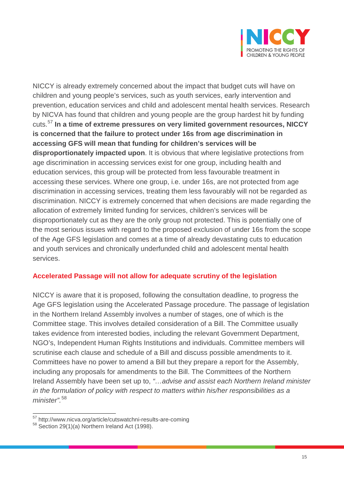

NICCY is already extremely concerned about the impact that budget cuts will have on children and young people's services, such as youth services, early intervention and prevention, education services and child and adolescent mental health services. Research by NICVA has found that children and young people are the group hardest hit by funding cuts.[57](#page-14-0) **In a time of extreme pressures on very limited government resources, NICCY is concerned that the failure to protect under 16s from age discrimination in accessing GFS will mean that funding for children's services will be disproportionately impacted upon**. It is obvious that where legislative protections from age discrimination in accessing services exist for one group, including health and education services, this group will be protected from less favourable treatment in accessing these services. Where one group, i.e. under 16s, are not protected from age discrimination in accessing services, treating them less favourably will not be regarded as discrimination. NICCY is extremely concerned that when decisions are made regarding the allocation of extremely limited funding for services, children's services will be disproportionately cut as they are the only group not protected. This is potentially one of the most serious issues with regard to the proposed exclusion of under 16s from the scope of the Age GFS legislation and comes at a time of already devastating cuts to education and youth services and chronically underfunded child and adolescent mental health services.

#### **Accelerated Passage will not allow for adequate scrutiny of the legislation**

NICCY is aware that it is proposed, following the consultation deadline, to progress the Age GFS legislation using the Accelerated Passage procedure. The passage of legislation in the Northern Ireland Assembly involves a number of stages, one of which is the Committee stage. This involves detailed consideration of a Bill. The Committee usually takes evidence from interested bodies, including the relevant Government Department, NGO's, Independent Human Rights Institutions and individuals. Committee members will scrutinise each clause and schedule of a Bill and discuss possible amendments to it. Committees have no power to amend a Bill but they prepare a report for the Assembly, including any proposals for amendments to the Bill. The Committees of the Northern Ireland Assembly have been set up to, *"…advise and assist each Northern Ireland minister in the formulation of policy with respect to matters within his/her responsibilities as a minister".*[58](#page-14-1)

<span id="page-14-1"></span><span id="page-14-0"></span> $57$  http://www.nicva.org/article/cutswatchni-results-are-coming  $58$  Section 29(1)(a) Northern Ireland Act (1998).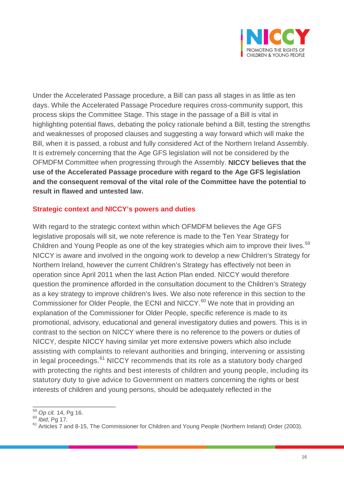

Under the Accelerated Passage procedure, a Bill can pass all stages in as little as ten days. While the Accelerated Passage Procedure requires cross-community support, this process skips the Committee Stage. This stage in the passage of a Bill is vital in highlighting potential flaws, debating the policy rationale behind a Bill, testing the strengths and weaknesses of proposed clauses and suggesting a way forward which will make the Bill, when it is passed, a robust and fully considered Act of the Northern Ireland Assembly. It is extremely concerning that the Age GFS legislation will not be considered by the OFMDFM Committee when progressing through the Assembly. **NICCY believes that the use of the Accelerated Passage procedure with regard to the Age GFS legislation and the consequent removal of the vital role of the Committee have the potential to result in flawed and untested law.**

#### **Strategic context and NICCY's powers and duties**

With regard to the strategic context within which OFMDFM believes the Age GFS legislative proposals will sit, we note reference is made to the Ten Year Strategy for Children and Young People as one of the key strategies which aim to improve their lives.<sup>[59](#page-15-0)</sup> NICCY is aware and involved in the ongoing work to develop a new Children's Strategy for Northern Ireland, however the current Children's Strategy has effectively not been in operation since April 2011 when the last Action Plan ended. NICCY would therefore question the prominence afforded in the consultation document to the Children's Strategy as a key strategy to improve children's lives. We also note reference in this section to the Commissioner for Older People, the ECNI and NICCY.<sup>[60](#page-15-1)</sup> We note that in providing an explanation of the Commissioner for Older People, specific reference is made to its promotional, advisory, educational and general investigatory duties and powers. This is in contrast to the section on NICCY where there is no reference to the powers or duties of NICCY, despite NICCY having similar yet more extensive powers which also include assisting with complaints to relevant authorities and bringing, intervening or assisting in legal proceedings.<sup>[61](#page-15-2)</sup> NICCY recommends that its role as a statutory body charged with protecting the rights and best interests of children and young people, including its statutory duty to give advice to Government on matters concerning the rights or best interests of children and young persons, should be adequately reflected in the

<span id="page-15-1"></span><span id="page-15-0"></span><sup>59</sup> *Op cit.* 14, Pg 16.

<span id="page-15-2"></span><sup>&</sup>lt;sup>61</sup> Articles 7 and 8-15, The Commissioner for Children and Young People (Northern Ireland) Order (2003).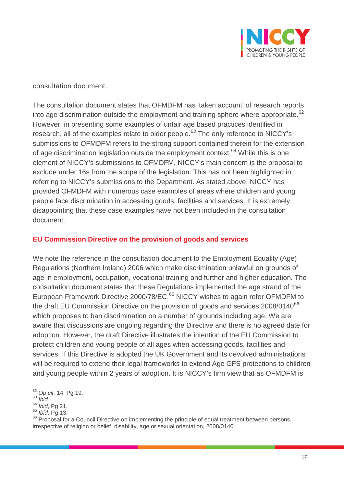

consultation document.

The consultation document states that OFMDFM has 'taken account' of research reports into age discrimination outside the employment and training sphere where appropriate.<sup>[62](#page-16-0)</sup> However, in presenting some examples of unfair age based practices identified in research, all of the examples relate to older people.<sup>[63](#page-16-1)</sup> The only reference to NICCY's submissions to OFMDFM refers to the strong support contained therein for the extension of age discrimination legislation outside the employment context.<sup>[64](#page-16-2)</sup> While this is one element of NICCY's submissions to OFMDFM, NICCY's main concern is the proposal to exclude under 16s from the scope of the legislation. This has not been highlighted in referring to NICCY's submissions to the Department. As stated above, NICCY has provided OFMDFM with numerous case examples of areas where children and young people face discrimination in accessing goods, facilities and services. It is extremely disappointing that these case examples have not been included in the consultation document.

#### **EU Commission Directive on the provision of goods and services**

We note the reference in the consultation document to the Employment Equality (Age) Regulations (Northern Ireland) 2006 which make discrimination unlawful on grounds of age in employment, occupation, vocational training and further and higher education. The consultation document states that these Regulations implemented the age strand of the European Framework Directive 2000/78/EC.<sup>[65](#page-16-3)</sup> NICCY wishes to again refer OFMDFM to the draft EU Commission Directive on the provision of goods and services 2008/0140<sup>[66](#page-16-4)</sup> which proposes to ban discrimination on a number of grounds including age. We are aware that discussions are ongoing regarding the Directive and there is no agreed date for adoption. However, the draft Directive illustrates the intention of the EU Commission to protect children and young people of all ages when accessing goods, facilities and services. If this Directive is adopted the UK Government and its devolved administrations will be required to extend their legal frameworks to extend Age GFS protections to children and young people within 2 years of adoption. It is NICCY's firm view that as OFMDFM is

<sup>62</sup> *Op cit.* 14, Pg 19.

<span id="page-16-1"></span><span id="page-16-0"></span><sup>&</sup>lt;sup>63</sup> *Ibid.*<br><sup>64</sup> *Ibid*, Pg 21.

<span id="page-16-4"></span><span id="page-16-3"></span><span id="page-16-2"></span><sup>64</sup> *Ibid*, Pg 21. <sup>65</sup> *Ibid,* Pg 13. <sup>66</sup> Proposal for a Council Directive on implementing the principle of equal treatment between persons irrespective of religion or belief, disability, age or sexual orientation, 2008/0140.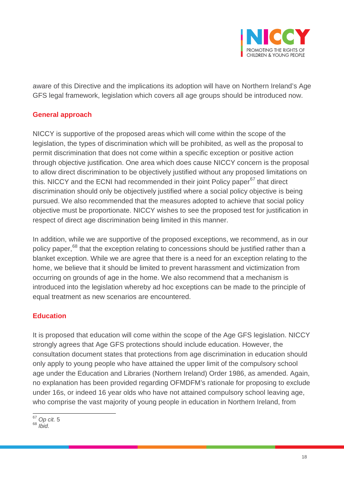

aware of this Directive and the implications its adoption will have on Northern Ireland's Age GFS legal framework, legislation which covers all age groups should be introduced now.

#### **General approach**

NICCY is supportive of the proposed areas which will come within the scope of the legislation, the types of discrimination which will be prohibited, as well as the proposal to permit discrimination that does not come within a specific exception or positive action through objective justification. One area which does cause NICCY concern is the proposal to allow direct discrimination to be objectively justified without any proposed limitations on this. NICCY and the ECNI had recommended in their joint Policy paper<sup>[67](#page-17-0)</sup> that direct discrimination should only be objectively justified where a social policy objective is being pursued. We also recommended that the measures adopted to achieve that social policy objective must be proportionate. NICCY wishes to see the proposed test for justification in respect of direct age discrimination being limited in this manner.

In addition, while we are supportive of the proposed exceptions, we recommend, as in our policy paper,<sup>[68](#page-17-1)</sup> that the exception relating to concessions should be justified rather than a blanket exception. While we are agree that there is a need for an exception relating to the home, we believe that it should be limited to prevent harassment and victimization from occurring on grounds of age in the home. We also recommend that a mechanism is introduced into the legislation whereby ad hoc exceptions can be made to the principle of equal treatment as new scenarios are encountered.

#### **Education**

It is proposed that education will come within the scope of the Age GFS legislation. NICCY strongly agrees that Age GFS protections should include education. However, the consultation document states that protections from age discrimination in education should only apply to young people who have attained the upper limit of the compulsory school age under the Education and Libraries (Northern Ireland) Order 1986, as amended. Again, no explanation has been provided regarding OFMDFM's rationale for proposing to exclude under 16s, or indeed 16 year olds who have not attained compulsory school leaving age, who comprise the vast majority of young people in education in Northern Ireland, from

<span id="page-17-0"></span><sup>67</sup> *Op cit.* <sup>5</sup>

<span id="page-17-1"></span><sup>68</sup> *Ibid.*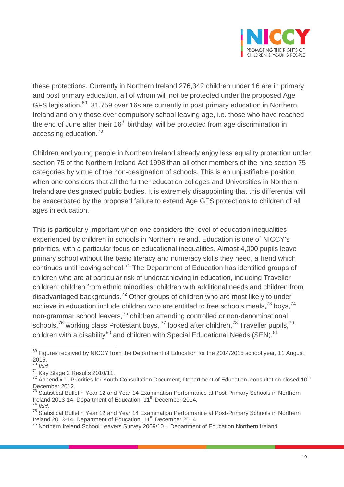

these protections. Currently in Northern Ireland 276,342 children under 16 are in primary and post primary education, all of whom will not be protected under the proposed Age GFS legislation.<sup>69</sup> 31,759 over 16s are currently in post primary education in Northern Ireland and only those over compulsory school leaving age, i.e. those who have reached the end of June after their  $16<sup>th</sup>$  birthday, will be protected from age discrimination in accessing education.[70](#page-18-1)

Children and young people in Northern Ireland already enjoy less equality protection under section 75 of the Northern Ireland Act 1998 than all other members of the nine section 75 categories by virtue of the non-designation of schools. This is an unjustifiable position when one considers that all the further education colleges and Universities in Northern Ireland are designated public bodies. It is extremely disappointing that this differential will be exacerbated by the proposed failure to extend Age GFS protections to children of all ages in education.

This is particularly important when one considers the level of education inequalities experienced by children in schools in Northern Ireland. Education is one of NICCY's priorities, with a particular focus on educational inequalities. Almost 4,000 pupils leave primary school without the basic literacy and numeracy skills they need, a trend which continues until leaving school.<sup>[71](#page-18-2)</sup> The Department of Education has identified groups of children who are at particular risk of underachieving in education, including Traveller children; children from ethnic minorities; children with additional needs and children from disadvantaged backgrounds.<sup>[72](#page-18-3)</sup> Other groups of children who are most likely to under achieve in education include children who are entitled to free schools meals,  $73$  boys,  $74$ non-grammar school leavers,<sup>[75](#page-18-6)</sup> children attending controlled or non-denominational schools,<sup>[76](#page-18-7)</sup> working class Protestant boys,  $^{77}$  $^{77}$  $^{77}$  looked after children,<sup>[78](#page-18-1)</sup> Traveller pupils,<sup>[79](#page-18-3)</sup> children with a disability $^{80}$  $^{80}$  $^{80}$  and children with Special Educational Needs (SEN). $^{81}$  $^{81}$  $^{81}$ 

<span id="page-18-8"></span><span id="page-18-0"></span> $69$  Figures received by NICCY from the Department of Education for the 2014/2015 school year, 11 August  $^{2015.}_{70}$ 

<span id="page-18-3"></span>

<span id="page-18-2"></span><span id="page-18-1"></span><sup>&</sup>lt;sup>71</sup> Key Stage 2 Results 2010/11.<br><sup>72</sup> Appendix 1, Priorities for Youth Consultation Document, Department of Education, consultation closed 10<sup>th</sup> December 2012.

<span id="page-18-9"></span><span id="page-18-4"></span><sup>&</sup>lt;sup>73</sup> Statistical Bulletin Year 12 and Year 14 Examination Performance at Post-Primary Schools in Northern Ireland 2013-14, Department of Education, 11th December 2014. <sup>74</sup> *Ibid.*

<span id="page-18-6"></span><span id="page-18-5"></span><sup>75</sup> Statistical Bulletin Year 12 and Year 14 Examination Performance at Post-Primary Schools in Northern Ireland 2013-14, Department of Education, 11<sup>th</sup> December 2014.

<span id="page-18-7"></span> $76$  Northern Ireland School Leavers Survey 2009/10 – Department of Education Northern Ireland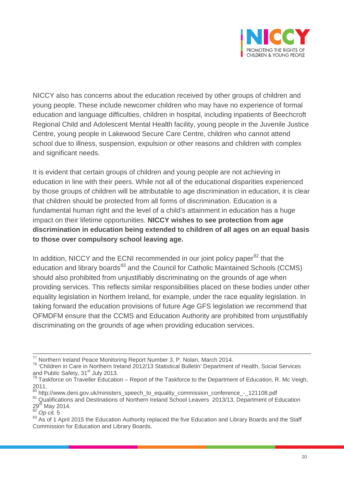

NICCY also has concerns about the education received by other groups of children and young people. These include newcomer children who may have no experience of formal education and language difficulties, children in hospital, including inpatients of Beechcroft Regional Child and Adolescent Mental Health facility, young people in the Juvenile Justice Centre, young people in Lakewood Secure Care Centre, children who cannot attend school due to illness, suspension, expulsion or other reasons and children with complex and significant needs.

It is evident that certain groups of children and young people are not achieving in education in line with their peers. While not all of the educational disparities experienced by those groups of children will be attributable to age discrimination in education, it is clear that children should be protected from all forms of discrimination. Education is a fundamental human right and the level of a child's attainment in education has a huge impact on their lifetime opportunities. **NICCY wishes to see protection from age discrimination in education being extended to children of all ages on an equal basis to those over compulsory school leaving age.**

In addition, NICCY and the ECNI recommended in our joint policy paper $82$  that the education and library boards<sup>[83](#page-19-1)</sup> and the Council for Catholic Maintained Schools (CCMS) should also prohibited from unjustifiably discriminating on the grounds of age when providing services. This reflects similar responsibilities placed on these bodies under other equality legislation in Northern Ireland, for example, under the race equality legislation. In taking forward the education provisions of future Age GFS legislation we recommend that OFMDFM ensure that the CCMS and Education Authority are prohibited from unjustifiably discriminating on the grounds of age when providing education services.

<sup>&</sup>lt;sup>77</sup> Northern Ireland Peace Monitoring Report Number 3, P. Nolan, March 2014.<br><sup>78</sup> 'Children in Care in Northern Ireland 2012/13 Statistical Bulletin' Department of Health, Social Services and Public Safety, 31<sup>st</sup> July 2013.<br><sup>79</sup> Taskforce on Traveller Education – Report of the Taskforce to the Department of Education, R. Mc Veigh,

<sup>2011.&</sup>lt;br><sup>80</sup> http://www.deni.gov.uk/ministers speech to equality commission conference - 121108.pdf

<sup>81</sup> Qualifications and Destinations of Northern Ireland School Leavers 2013/13, Department of Education 29th May 2014. 82 *Op cit.* <sup>5</sup>

<span id="page-19-0"></span>

<span id="page-19-1"></span><sup>83</sup> As of 1 April 2015 the Education Authority replaced the five Education and Library Boards and the Staff Commission for Education and Library Boards.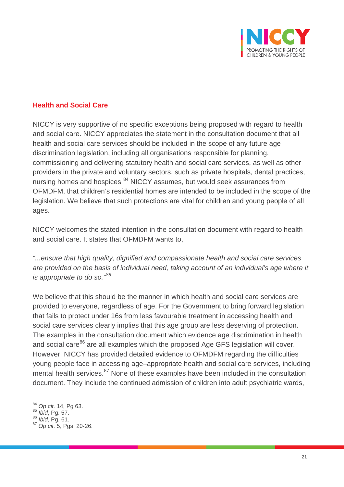

#### **Health and Social Care**

NICCY is very supportive of no specific exceptions being proposed with regard to health and social care. NICCY appreciates the statement in the consultation document that all health and social care services should be included in the scope of any future age discrimination legislation, including all organisations responsible for planning, commissioning and delivering statutory health and social care services, as well as other providers in the private and voluntary sectors, such as private hospitals, dental practices, nursing homes and hospices.<sup>[84](#page-20-0)</sup> NICCY assumes, but would seek assurances from OFMDFM, that children's residential homes are intended to be included in the scope of the legislation. We believe that such protections are vital for children and young people of all ages.

NICCY welcomes the stated intention in the consultation document with regard to health and social care. It states that OFMDFM wants to,

*"...ensure that high quality, dignified and compassionate health and social care services are provided on the basis of individual need, taking account of an individual's age where it is appropriate to do so."[85](#page-20-1)*

We believe that this should be the manner in which health and social care services are provided to everyone, regardless of age. For the Government to bring forward legislation that fails to protect under 16s from less favourable treatment in accessing health and social care services clearly implies that this age group are less deserving of protection. The examples in the consultation document which evidence age discrimination in health and social care<sup>[86](#page-20-2)</sup> are all examples which the proposed Age GFS legislation will cover. However, NICCY has provided detailed evidence to OFMDFM regarding the difficulties young people face in accessing age–appropriate health and social care services, including mental health services.<sup>[87](#page-20-3)</sup> None of these examples have been included in the consultation document. They include the continued admission of children into adult psychiatric wards,

<span id="page-20-0"></span><sup>84</sup> *Op cit.* 14, Pg 63.

<span id="page-20-3"></span><span id="page-20-2"></span><span id="page-20-1"></span><sup>85</sup> *Ibid*, Pg. 57. <sup>86</sup> *Ibid*, Pg. 61. <sup>87</sup> *Op cit.* 5, Pgs. 20-26.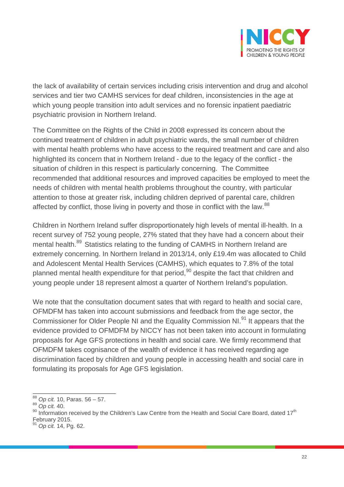

the lack of availability of certain services including crisis intervention and drug and alcohol services and tier two CAMHS services for deaf children, inconsistencies in the age at which young people transition into adult services and no forensic inpatient paediatric psychiatric provision in Northern Ireland.

The Committee on the Rights of the Child in 2008 expressed its concern about the continued treatment of children in adult psychiatric wards, the small number of children with mental health problems who have access to the required treatment and care and also highlighted its concern that in Northern Ireland - due to the legacy of the conflict - the situation of children in this respect is particularly concerning. The Committee recommended that additional resources and improved capacities be employed to meet the needs of children with mental health problems throughout the country, with particular attention to those at greater risk, including children deprived of parental care, children affected by conflict, those living in poverty and those in conflict with the law.<sup>[88](#page-21-0)</sup>

Children in Northern Ireland suffer disproportionately high levels of mental ill-health. In a recent survey of 752 young people, 27% stated that they have had a concern about their mental health.<sup>[89](#page-21-1)</sup> Statistics relating to the funding of CAMHS in Northern Ireland are extremely concerning. In Northern Ireland in 2013/14, only £19.4m was allocated to Child and Adolescent Mental Health Services (CAMHS), which equates to 7.8% of the total planned mental health expenditure for that period,<sup>[90](#page-21-2)</sup> despite the fact that children and young people under 18 represent almost a quarter of Northern Ireland's population.

We note that the consultation document sates that with regard to health and social care, OFMDFM has taken into account submissions and feedback from the age sector, the Commissioner for Older People NI and the Equality Commission NI.<sup>[91](#page-21-3)</sup> It appears that the evidence provided to OFMDFM by NICCY has not been taken into account in formulating proposals for Age GFS protections in health and social care. We firmly recommend that OFMDFM takes cognisance of the wealth of evidence it has received regarding age discrimination faced by children and young people in accessing health and social care in formulating its proposals for Age GFS legislation.

<span id="page-21-0"></span><sup>88</sup> *Op cit.* 10, Paras. 56 – 57.

<span id="page-21-2"></span><span id="page-21-1"></span><sup>&</sup>lt;sup>90</sup> Information received by the Children's Law Centre from the Health and Social Care Board, dated 17<sup>th</sup> February 2015.

<span id="page-21-3"></span><sup>91</sup> *Op cit.* 14, Pg. 62.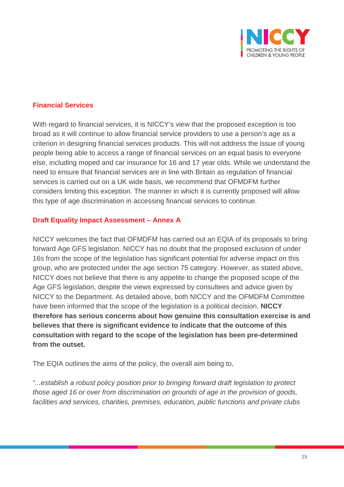

#### **Financial Services**

With regard to financial services, it is NICCY's view that the proposed exception is too broad as it will continue to allow financial service providers to use a person's age as a criterion in designing financial services products. This will not address the issue of young people being able to access a range of financial services on an equal basis to everyone else, including moped and car insurance for 16 and 17 year olds. While we understand the need to ensure that financial services are in line with Britain as regulation of financial services is carried out on a UK wide basis, we recommend that OFMDFM further considers limiting this exception. The manner in which it is currently proposed will allow this type of age discrimination in accessing financial services to continue.

#### **Draft Equality Impact Assessment – Annex A**

NICCY welcomes the fact that OFMDFM has carried out an EQIA of its proposals to bring forward Age GFS legislation. NICCY has no doubt that the proposed exclusion of under 16s from the scope of the legislation has significant potential for adverse impact on this group, who are protected under the age section 75 category. However, as stated above, NICCY does not believe that there is any appetite to change the proposed scope of the Age GFS legislation, despite the views expressed by consultees and advice given by NICCY to the Department. As detailed above, both NICCY and the OFMDFM Committee have been informed that the scope of the legislation is a political decision. **NICCY therefore has serious concerns about how genuine this consultation exercise is and believes that there is significant evidence to indicate that the outcome of this consultation with regard to the scope of the legislation has been pre-determined from the outset.**

The EQIA outlines the aims of the policy, the overall aim being to,

*"...establish a robust policy position prior to bringing forward draft legislation to protect those aged 16 or over from discrimination on grounds of age in the provision of goods, facilities and services, charities, premises, education, public functions and private clubs*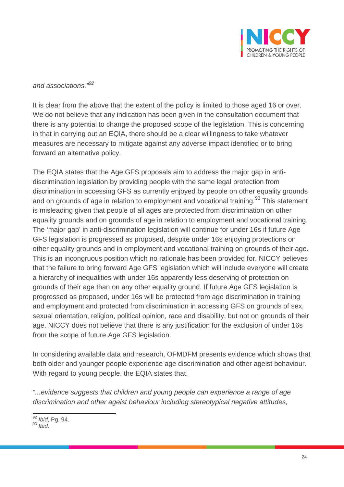

#### *and associations."[92](#page-23-0)*

It is clear from the above that the extent of the policy is limited to those aged 16 or over. We do not believe that any indication has been given in the consultation document that there is any potential to change the proposed scope of the legislation. This is concerning in that in carrying out an EQIA, there should be a clear willingness to take whatever measures are necessary to mitigate against any adverse impact identified or to bring forward an alternative policy.

The EQIA states that the Age GFS proposals aim to address the major gap in antidiscrimination legislation by providing people with the same legal protection from discrimination in accessing GFS as currently enjoyed by people on other equality grounds and on grounds of age in relation to employment and vocational training.<sup>[93](#page-23-1)</sup> This statement is misleading given that people of all ages are protected from discrimination on other equality grounds and on grounds of age in relation to employment and vocational training. The 'major gap' in anti-discrimination legislation will continue for under 16s if future Age GFS legislation is progressed as proposed, despite under 16s enjoying protections on other equality grounds and in employment and vocational training on grounds of their age. This is an incongruous position which no rationale has been provided for. NICCY believes that the failure to bring forward Age GFS legislation which will include everyone will create a hierarchy of inequalities with under 16s apparently less deserving of protection on grounds of their age than on any other equality ground. If future Age GFS legislation is progressed as proposed, under 16s will be protected from age discrimination in training and employment and protected from discrimination in accessing GFS on grounds of sex, sexual orientation, religion, political opinion, race and disability, but not on grounds of their age. NICCY does not believe that there is any justification for the exclusion of under 16s from the scope of future Age GFS legislation.

In considering available data and research, OFMDFM presents evidence which shows that both older and younger people experience age discrimination and other ageist behaviour. With regard to young people, the EQIA states that,

*"...evidence suggests that children and young people can experience a range of age discrimination and other ageist behaviour including stereotypical negative attitudes,* 

<span id="page-23-1"></span><span id="page-23-0"></span><sup>92</sup> *Ibid*, Pg. 94. <sup>93</sup> *Ibid.*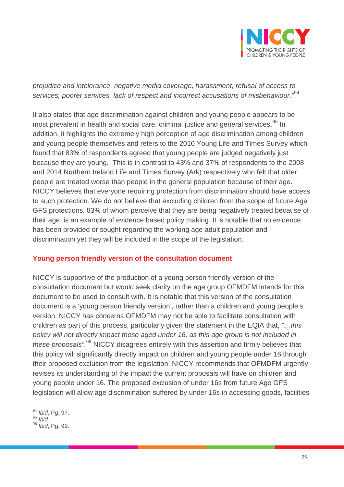

*prejudice and intolerance, negative media coverage, harassment, refusal of access to services, poorer services, lack of respect and incorrect accusations of misbehaviour."*[94](#page-24-0)

It also states that age discrimination against children and young people appears to be most prevalent in health and social care, criminal justice and general services.<sup>[95](#page-24-1)</sup> In addition, it highlights the extremely high perception of age discrimination among children and young people themselves and refers to the 2010 Young Life and Times Survey which found that 83% of respondents agreed that young people are judged negatively just because they are young. This is in contrast to 43% and 37% of respondents to the 2008 and 2014 Northern Ireland Life and Times Survey (Ark) respectively who felt that older people are treated worse than people in the general population because of their age. NICCY believes that everyone requiring protection from discrimination should have access to such protection. We do not believe that excluding children from the scope of future Age GFS protections, 83% of whom perceive that they are being negatively treated because of their age, is an example of evidence based policy making. It is notable that no evidence has been provided or sought regarding the working age adult population and discrimination yet they will be included in the scope of the legislation.

#### **Young person friendly version of the consultation document**

NICCY is supportive of the production of a young person friendly version of the consultation document but would seek clarity on the age group OFMDFM intends for this document to be used to consult with. It is notable that this version of the consultation document is a 'young person friendly version', rather than a children and young people's version. NICCY has concerns OFMDFM may not be able to facilitate consultation with children as part of this process, particularly given the statement in the EQIA that, *"…this policy will not directly impact those aged under 16, as this age group is not included in these proposals"*. [96](#page-24-2) NICCY disagrees entirely with this assertion and firmly believes that this policy will significantly directly impact on children and young people under 16 through their proposed exclusion from the legislation. NICCY recommends that OFMDFM urgently revises its understanding of the impact the current proposals will have on children and young people under 16. The proposed exclusion of under 16s from future Age GFS legislation will allow age discrimination suffered by under 16s in accessing goods, facilities

<span id="page-24-0"></span><sup>94</sup> *Ibid*, Pg. 97.

<span id="page-24-1"></span><sup>95</sup> *Ibid.*

<span id="page-24-2"></span><sup>96</sup> *Ibid*, Pg. 99.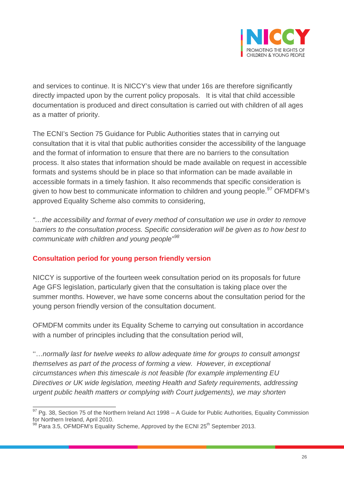

and services to continue. It is NICCY's view that under 16s are therefore significantly directly impacted upon by the current policy proposals. It is vital that child accessible documentation is produced and direct consultation is carried out with children of all ages as a matter of priority.

The ECNI's Section 75 Guidance for Public Authorities states that in carrying out consultation that it is vital that public authorities consider the accessibility of the language and the format of information to ensure that there are no barriers to the consultation process. It also states that information should be made available on request in accessible formats and systems should be in place so that information can be made available in accessible formats in a timely fashion. It also recommends that specific consideration is given to how best to communicate information to children and young people.<sup>[97](#page-25-0)</sup> OFMDFM's approved Equality Scheme also commits to considering,

*"…the accessibility and format of every method of consultation we use in order to remove barriers to the consultation process. Specific consideration will be given as to how best to communicate with children and young people"[98](#page-25-1)*

#### **Consultation period for young person friendly version**

NICCY is supportive of the fourteen week consultation period on its proposals for future Age GFS legislation, particularly given that the consultation is taking place over the summer months. However, we have some concerns about the consultation period for the young person friendly version of the consultation document.

OFMDFM commits under its Equality Scheme to carrying out consultation in accordance with a number of principles including that the consultation period will,

''…*normally last for twelve weeks to allow adequate time for groups to consult amongst themselves as part of the process of forming a view. However, in exceptional circumstances when this timescale is not feasible (for example implementing EU Directives or UK wide legislation, meeting Health and Safety requirements, addressing urgent public health matters or complying with Court judgements), we may shorten* 

<span id="page-25-0"></span><sup>97</sup> Pg. 38, Section 75 of the Northern Ireland Act 1998 – A Guide for Public Authorities*,* Equality Commission

<span id="page-25-1"></span> $98$  Para 3.5, OFMDFM's Equality Scheme, Approved by the ECNI 25<sup>th</sup> September 2013.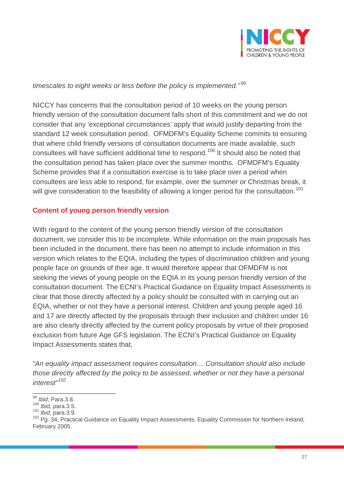

*timescales to eight weeks or less before the policy is implemented.*''[99](#page-26-0)

NICCY has concerns that the consultation period of 10 weeks on the young person friendly version of the consultation document falls short of this commitment and we do not consider that any 'exceptional circumstances' apply that would justify departing from the standard 12 week consultation period. OFMDFM's Equality Scheme commits to ensuring that where child friendly versions of consultation documents are made available, such consultees will have sufficient additional time to respond.<sup>[100](#page-26-1)</sup> It should also be noted that the consultation period has taken place over the summer months. OFMDFM's Equality Scheme provides that if a consultation exercise is to take place over a period when consultees are less able to respond, for example, over the summer or Christmas break, it will give consideration to the feasibility of allowing a longer period for the consultation.<sup>[101](#page-26-2)</sup>

## **Content of young person friendly version**

With regard to the content of the young person friendly version of the consultation document, we consider this to be incomplete. While information on the main proposals has been included in the document, there has been no attempt to include information in this version which relates to the EQIA, including the types of discrimination children and young people face on grounds of their age. It would therefore appear that OFMDFM is not seeking the views of young people on the EQIA in its young person friendly version of the consultation document. The ECNI's Practical Guidance on Equality Impact Assessments is clear that those directly affected by a policy should be consulted with in carrying out an EQIA, whether or not they have a personal interest. Children and young people aged 16 and 17 are directly affected by the proposals through their inclusion and children under 16 are also clearly directly affected by the current policy proposals by virtue of their proposed exclusion from future Age GFS legislation. The ECNI's Practical Guidance on Equality Impact Assessments states that,

*"An equality impact assessment requires consultation… Consultation should also include those directly affected by the policy to be assessed, whether or not they have a personal interest"[102](#page-26-3)*

<span id="page-26-0"></span><sup>&</sup>lt;sup>99</sup> *Ibid*, Para.3.8.<br><sup>100</sup> *Ibid*, para.3.5.

<span id="page-26-3"></span><span id="page-26-2"></span><span id="page-26-1"></span><sup>101</sup> *Ibid*, para.3.9.<br><sup>101</sup> *Ibid*, para.3.9.<br><sup>102</sup> Pg. 34, Practical Guidance on Equality Impact Assessments, Equality Commission for Northern Ireland, February 2005.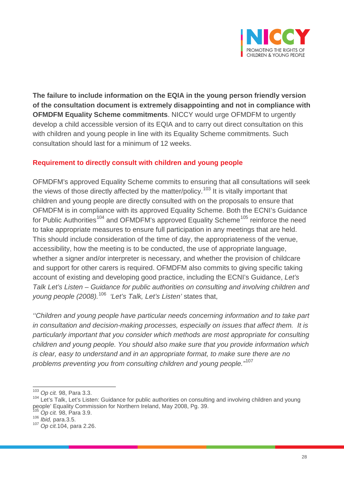

**The failure to include information on the EQIA in the young person friendly version of the consultation document is extremely disappointing and not in compliance with OFMDFM Equality Scheme commitments**. NICCY would urge OFMDFM to urgently develop a child accessible version of its EQIA and to carry out direct consultation on this with children and young people in line with its Equality Scheme commitments. Such consultation should last for a minimum of 12 weeks.

#### **Requirement to directly consult with children and young people**

OFMDFM's approved Equality Scheme commits to ensuring that all consultations will seek the views of those directly affected by the matter/policy.<sup>[103](#page-27-0)</sup> It is vitally important that children and young people are directly consulted with on the proposals to ensure that OFMDFM is in compliance with its approved Equality Scheme. Both the ECNI's Guidance for Public Authorities<sup>[104](#page-27-1)</sup> and OFMDFM's approved Equality Scheme<sup>[105](#page-27-2)</sup> reinforce the need to take appropriate measures to ensure full participation in any meetings that are held. This should include consideration of the time of day, the appropriateness of the venue, accessibility, how the meeting is to be conducted, the use of appropriate language, whether a signer and/or interpreter is necessary, and whether the provision of childcare and support for other carers is required. OFMDFM also commits to giving specific taking account of existing and developing good practice, including the ECNI's Guidance, *Let's Talk Let's Listen – Guidance for public authorities on consulting and involving children and young people (2008).*[106](#page-27-3) *'Let's Talk, Let's Listen'* states that,

*''Children and young people have particular needs concerning information and to take part in consultation and decision-making processes, especially on issues that affect them. It is particularly important that you consider which methods are most appropriate for consulting children and young people. You should also make sure that you provide information which is clear, easy to understand and in an appropriate format, to make sure there are no problems preventing you from consulting children and young people."*[107](#page-27-4)

<span id="page-27-0"></span><sup>103</sup> *Op cit.* 98, Para 3.3.

<span id="page-27-1"></span><sup>&</sup>lt;sup>104</sup> Let's Talk, Let's Listen: Guidance for public authorities on consulting and involving children and young people' Equality Commission for Northern Ireland, May 2008, Pg. 39.

<span id="page-27-2"></span><sup>&</sup>lt;sup>105</sup> *Op cit.* 98, Para 3.9.<br><sup>106</sup> *Ibid,* para 3.5.

<span id="page-27-3"></span>

<span id="page-27-4"></span><sup>106</sup> *Ibid,* para.3.5. <sup>107</sup> *Op cit.*104, para 2.26.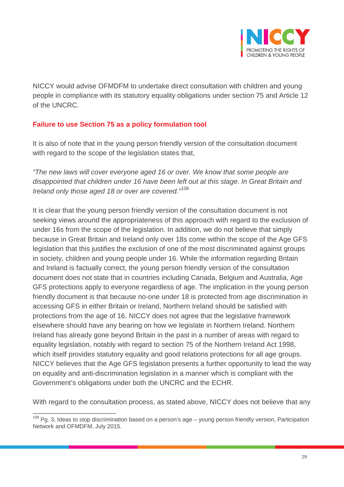

NICCY would advise OFMDFM to undertake direct consultation with children and young people in compliance with its statutory equality obligations under section 75 and Article 12 of the UNCRC.

## **Failure to use Section 75 as a policy formulation tool**

It is also of note that in the young person friendly version of the consultation document with regard to the scope of the legislation states that,

*"The new laws will cover everyone aged 16 or over. We know that some people are disappointed that children under 16 have been left out at this stage. In Great Britain and Ireland only those aged 18 or over are covered."*[108](#page-28-0)

It is clear that the young person friendly version of the consultation document is not seeking views around the appropriateness of this approach with regard to the exclusion of under 16s from the scope of the legislation. In addition, we do not believe that simply because in Great Britain and Ireland only over 18s come within the scope of the Age GFS legislation that this justifies the exclusion of one of the most discriminated against groups in society, children and young people under 16. While the information regarding Britain and Ireland is factually correct, the young person friendly version of the consultation document does not state that in countries including Canada, Belgium and Australia, Age GFS protections apply to everyone regardless of age. The implication in the young person friendly document is that because no-one under 18 is protected from age discrimination in accessing GFS in either Britain or Ireland, Northern Ireland should be satisfied with protections from the age of 16. NICCY does not agree that the legislative framework elsewhere should have any bearing on how we legislate in Northern Ireland. Northern Ireland has already gone beyond Britain in the past in a number of areas with regard to equality legislation, notably with regard to section 75 of the Northern Ireland Act 1998, which itself provides statutory equality and good relations protections for all age groups. NICCY believes that the Age GFS legislation presents a further opportunity to lead the way on equality and anti-discrimination legislation in a manner which is compliant with the Government's obligations under both the UNCRC and the ECHR.

With regard to the consultation process, as stated above, NICCY does not believe that any

<span id="page-28-0"></span><sup>&</sup>lt;sup>108</sup> Pg. 3, Ideas to stop discrimination based on a person's age – young person friendly version, Participation Network and OFMDFM, July 2015.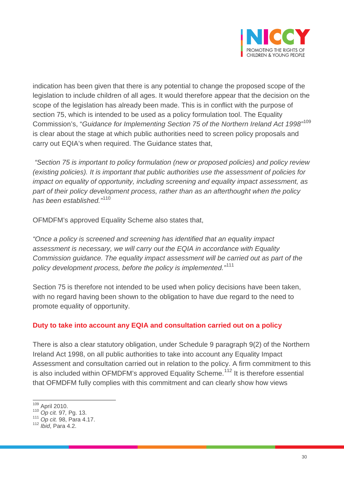

indication has been given that there is any potential to change the proposed scope of the legislation to include children of all ages. It would therefore appear that the decision on the scope of the legislation has already been made. This is in conflict with the purpose of section 75, which is intended to be used as a policy formulation tool. The Equality Commission's, "*Guidance for Implementing Section 75 of the Northern Ireland Act 1998"*[109](#page-29-0) is clear about the stage at which public authorities need to screen policy proposals and carry out EQIA's when required. The Guidance states that,

*"Section 75 is important to policy formulation (new or proposed policies) and policy review (existing policies). It is important that public authorities use the assessment of policies for impact on equality of opportunity, including screening and equality impact assessment, as part of their policy development process, rather than as an afterthought when the policy has been established."*[110](#page-29-1)

OFMDFM's approved Equality Scheme also states that,

*"Once a policy is screened and screening has identified that an equality impact assessment is necessary, we will carry out the EQIA in accordance with Equality Commission guidance. The equality impact assessment will be carried out as part of the policy development process, before the policy is implemented."*[111](#page-29-2)

Section 75 is therefore not intended to be used when policy decisions have been taken, with no regard having been shown to the obligation to have due regard to the need to promote equality of opportunity.

#### **Duty to take into account any EQIA and consultation carried out on a policy**

There is also a clear statutory obligation, under Schedule 9 paragraph 9(2) of the Northern Ireland Act 1998, on all public authorities to take into account any Equality Impact Assessment and consultation carried out in relation to the policy. A firm commitment to this is also included within OFMDFM's approved Equality Scheme.<sup>[112](#page-29-3)</sup> It is therefore essential that OFMDFM fully complies with this commitment and can clearly show how views

<span id="page-29-0"></span> $^{109}$  April 2010.<br> $^{110}$  Op cit. 97, Pg. 13.

<span id="page-29-2"></span><span id="page-29-1"></span><sup>110</sup> *Op cit.* 97*,* Pg. 13. <sup>111</sup> *Op cit.* 98, Para 4.17.

<span id="page-29-3"></span><sup>112</sup> *Ibid*, Para 4.2.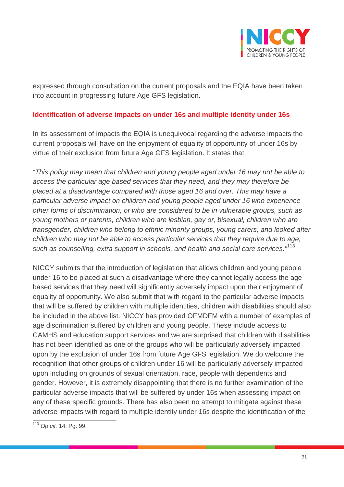

expressed through consultation on the current proposals and the EQIA have been taken into account in progressing future Age GFS legislation.

#### **Identification of adverse impacts on under 16s and multiple identity under 16s**

In its assessment of impacts the EQIA is unequivocal regarding the adverse impacts the current proposals will have on the enjoyment of equality of opportunity of under 16s by virtue of their exclusion from future Age GFS legislation. It states that,

*"This policy may mean that children and young people aged under 16 may not be able to access the particular age based services that they need, and they may therefore be placed at a disadvantage compared with those aged 16 and over. This may have a particular adverse impact on children and young people aged under 16 who experience other forms of discrimination, or who are considered to be in vulnerable groups, such as young mothers or parents, children who are lesbian, gay or, bisexual, children who are transgender, children who belong to ethnic minority groups, young carers, and looked after children who may not be able to access particular services that they require due to age, such as counselling, extra support in schools, and health and social care services."*[113](#page-30-0)

NICCY submits that the introduction of legislation that allows children and young people under 16 to be placed at such a disadvantage where they cannot legally access the age based services that they need will significantly adversely impact upon their enjoyment of equality of opportunity. We also submit that with regard to the particular adverse impacts that will be suffered by children with multiple identities, children with disabilities should also be included in the above list. NICCY has provided OFMDFM with a number of examples of age discrimination suffered by children and young people. These include access to CAMHS and education support services and we are surprised that children with disabilities has not been identified as one of the groups who will be particularly adversely impacted upon by the exclusion of under 16s from future Age GFS legislation. We do welcome the recognition that other groups of children under 16 will be particularly adversely impacted upon including on grounds of sexual orientation, race, people with dependents and gender. However, it is extremely disappointing that there is no further examination of the particular adverse impacts that will be suffered by under 16s when assessing impact on any of these specific grounds. There has also been no attempt to mitigate against these adverse impacts with regard to multiple identity under 16s despite the identification of the

<span id="page-30-0"></span><sup>113</sup> *Op cit.* 14, Pg. 99.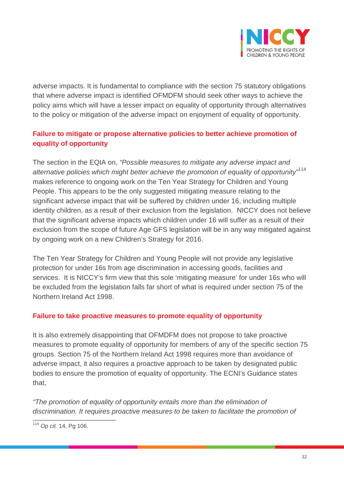

adverse impacts. It is fundamental to compliance with the section 75 statutory obligations that where adverse impact is identified OFMDFM should seek other ways to achieve the policy aims which will have a lesser impact on equality of opportunity through alternatives to the policy or mitigation of the adverse impact on enjoyment of equality of opportunity.

## **Failure to mitigate or propose alternative policies to better achieve promotion of equality of opportunity**

The section in the EQIA on, *"Possible measures to mitigate any adverse impact and alternative policies which might better achieve the promotion of equality of opportunity"*[114](#page-31-0) makes reference to ongoing work on the Ten Year Strategy for Children and Young People. This appears to be the only suggested mitigating measure relating to the significant adverse impact that will be suffered by children under 16, including multiple identity children, as a result of their exclusion from the legislation. NICCY does not believe that the significant adverse impacts which children under 16 will suffer as a result of their exclusion from the scope of future Age GFS legislation will be in any way mitigated against by ongoing work on a new Children's Strategy for 2016.

The Ten Year Strategy for Children and Young People will not provide any legislative protection for under 16s from age discrimination in accessing goods, facilities and services. It is NICCY's firm view that this sole 'mitigating measure' for under 16s who will be excluded from the legislation falls far short of what is required under section 75 of the Northern Ireland Act 1998.

#### **Failure to take proactive measures to promote equality of opportunity**

It is also extremely disappointing that OFMDFM does not propose to take proactive measures to promote equality of opportunity for members of any of the specific section 75 groups. Section 75 of the Northern Ireland Act 1998 requires more than avoidance of adverse impact, it also requires a proactive approach to be taken by designated public bodies to ensure the promotion of equality of opportunity. The ECNI's Guidance states that,

*"The promotion of equality of opportunity entails more than the elimination of discrimination. It requires proactive measures to be taken to facilitate the promotion of* 

<span id="page-31-0"></span><sup>114</sup> *Op cit.* 14, Pg 106.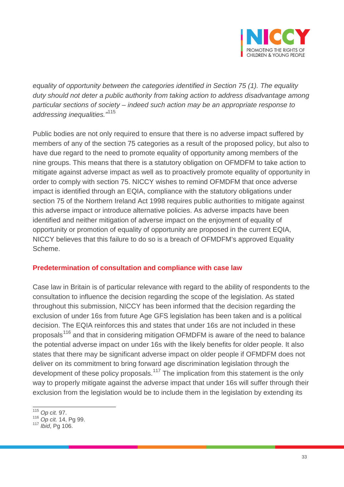

*equality of opportunity between the categories identified in Section 75 (1). The equality duty should not deter a public authority from taking action to address disadvantage among particular sections of society – indeed such action may be an appropriate response to addressing inequalities."*[115](#page-32-0)

Public bodies are not only required to ensure that there is no adverse impact suffered by members of any of the section 75 categories as a result of the proposed policy, but also to have due regard to the need to promote equality of opportunity among members of the nine groups. This means that there is a statutory obligation on OFMDFM to take action to mitigate against adverse impact as well as to proactively promote equality of opportunity in order to comply with section 75. NICCY wishes to remind OFMDFM that once adverse impact is identified through an EQIA, compliance with the statutory obligations under section 75 of the Northern Ireland Act 1998 requires public authorities to mitigate against this adverse impact or introduce alternative policies. As adverse impacts have been identified and neither mitigation of adverse impact on the enjoyment of equality of opportunity or promotion of equality of opportunity are proposed in the current EQIA, NICCY believes that this failure to do so is a breach of OFMDFM's approved Equality Scheme.

#### **Predetermination of consultation and compliance with case law**

Case law in Britain is of particular relevance with regard to the ability of respondents to the consultation to influence the decision regarding the scope of the legislation. As stated throughout this submission, NICCY has been informed that the decision regarding the exclusion of under 16s from future Age GFS legislation has been taken and is a political decision. The EQIA reinforces this and states that under 16s are not included in these proposals<sup>[116](#page-32-1)</sup> and that in considering mitigation OFMDFM is aware of the need to balance the potential adverse impact on under 16s with the likely benefits for older people. It also states that there may be significant adverse impact on older people if OFMDFM does not deliver on its commitment to bring forward age discrimination legislation through the development of these policy proposals.<sup>[117](#page-32-2)</sup> The implication from this statement is the only way to properly mitigate against the adverse impact that under 16s will suffer through their exclusion from the legislation would be to include them in the legislation by extending its

<span id="page-32-1"></span><span id="page-32-0"></span><sup>115</sup> *Op cit.* 97.

<sup>116</sup> *Op cit.* 14, Pg 99. <sup>117</sup> *Ibid*, Pg 106.

<span id="page-32-2"></span>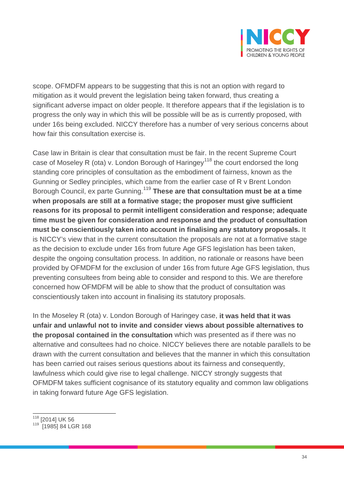

scope. OFMDFM appears to be suggesting that this is not an option with regard to mitigation as it would prevent the legislation being taken forward, thus creating a significant adverse impact on older people. It therefore appears that if the legislation is to progress the only way in which this will be possible will be as is currently proposed, with under 16s being excluded. NICCY therefore has a number of very serious concerns about how fair this consultation exercise is.

Case law in Britain is clear that consultation must be fair. In the recent Supreme Court case of Moseley R (ota) v. London Borough of Haringey<sup>[118](#page-33-0)</sup> the court endorsed the long standing core principles of consultation as the embodiment of fairness, known as the Gunning or Sedley principles, which came from the earlier case of R v Brent London Borough Council, ex parte Gunning.[119](#page-33-1) **These are that consultation must be at a time when proposals are still at a formative stage; the proposer must give sufficient reasons for its proposal to permit intelligent consideration and response; adequate time must be given for consideration and response and the product of consultation must be conscientiously taken into account in finalising any statutory proposals.** It is NICCY's view that in the current consultation the proposals are not at a formative stage as the decision to exclude under 16s from future Age GFS legislation has been taken, despite the ongoing consultation process. In addition, no rationale or reasons have been provided by OFMDFM for the exclusion of under 16s from future Age GFS legislation, thus preventing consultees from being able to consider and respond to this. We are therefore concerned how OFMDFM will be able to show that the product of consultation was conscientiously taken into account in finalising its statutory proposals.

In the Moseley R (ota) v. London Borough of Haringey case, **it was held that it was unfair and unlawful not to invite and consider views about possible alternatives to the proposal contained in the consultation** which was presented as if there was no alternative and consultees had no choice. NICCY believes there are notable parallels to be drawn with the current consultation and believes that the manner in which this consultation has been carried out raises serious questions about its fairness and consequently, lawfulness which could give rise to legal challenge. NICCY strongly suggests that OFMDFM takes sufficient cognisance of its statutory equality and common law obligations in taking forward future Age GFS legislation.

<sup>118</sup> [2014] UK <sup>56</sup>

<span id="page-33-1"></span><span id="page-33-0"></span><sup>119 [1985] 84</sup> LGR 168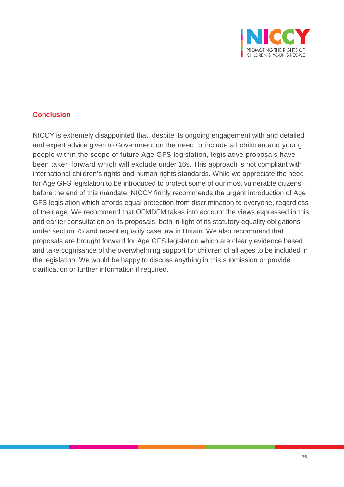

#### **Conclusion**

NICCY is extremely disappointed that, despite its ongoing engagement with and detailed and expert advice given to Government on the need to include all children and young people within the scope of future Age GFS legislation, legislative proposals have been taken forward which will exclude under 16s. This approach is not compliant with international children's rights and human rights standards. While we appreciate the need for Age GFS legislation to be introduced to protect some of our most vulnerable citizens before the end of this mandate, NICCY firmly recommends the urgent introduction of Age GFS legislation which affords equal protection from discrimination to everyone, regardless of their age. We recommend that OFMDFM takes into account the views expressed in this and earlier consultation on its proposals, both in light of its statutory equality obligations under section 75 and recent equality case law in Britain. We also recommend that proposals are brought forward for Age GFS legislation which are clearly evidence based and take cognisance of the overwhelming support for children of all ages to be included in the legislation. We would be happy to discuss anything in this submission or provide clarification or further information if required.